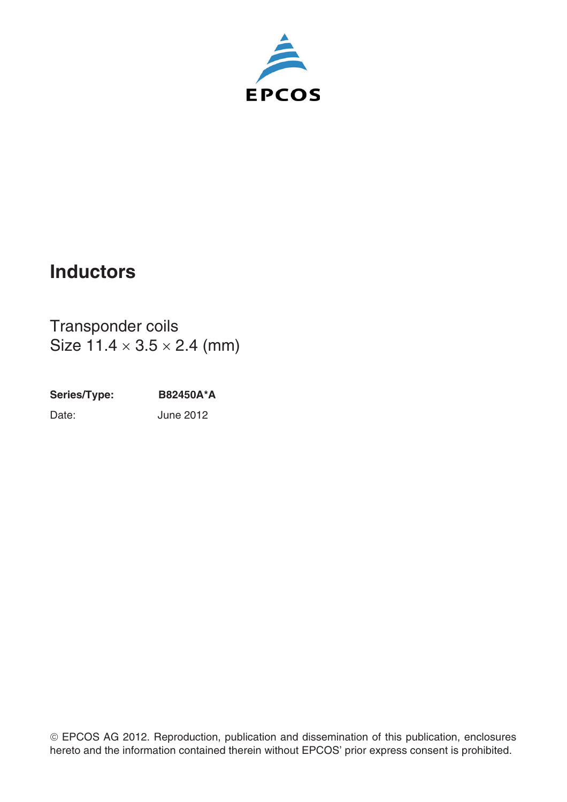

# **Inductors**

Transponder coils Size  $11.4 \times 3.5 \times 2.4$  (mm)

**Series/Type: B82450A\*A** Date: June 2012

¤EPCOS AG 2012. Reproduction, publication and dissemination of this publication, enclosures hereto and the information contained therein without EPCOS' prior express consent is prohibited.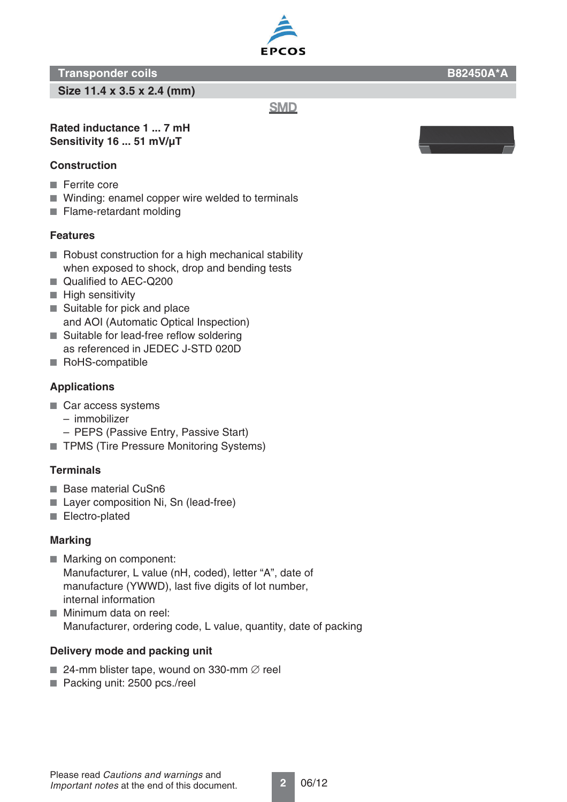### **Transponder coils B82450A\*A**

**Size 11.4 x 3.5 x 2.4 (mm)**

**Rated inductance 1 ... 7 mH**

# **Sensitivity 16 ... 51 mV/μT**

## **Construction**

- Ferrite core
- Winding: enamel copper wire welded to terminals
- Flame-retardant molding

### **Features**

- Robust construction for a high mechanical stability when exposed to shock, drop and bending tests
- Qualified to AEC-Q200
- High sensitivity
- Suitable for pick and place and AOI (Automatic Optical Inspection)
- Suitable for lead-free reflow soldering as referenced in JEDEC J-STD 020D
- RoHS-compatible

# **Applications**

- Car access systems
	- immobilizer
	- PEPS (Passive Entry, Passive Start)
- TPMS (Tire Pressure Monitoring Systems)

### **Terminals**

- Base material CuSn6
- Layer composition Ni, Sn (lead-free)
- Electro-plated

### **Marking**

- Marking on component: Manufacturer, L value (nH, coded), letter "A", date of manufacture (YWWD), last five digits of lot number, internal information
- Minimum data on reel: Manufacturer, ordering code, L value, quantity, date of packing

### **Delivery mode and packing unit**

- 24-mm blister tape, wound on 330-mm  $\emptyset$  reel
- Packing unit: 2500 pcs./reel



**SMD** 

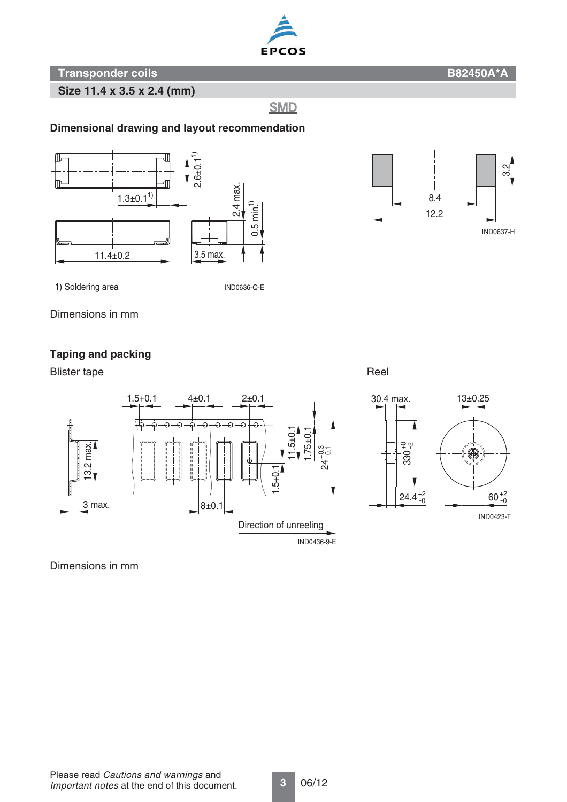

**Transponder coils B82450A\*A** 

**Size 11.4 x 3.5 x 2.4 (mm)**

**SMD** 

#### **Dimensional drawing and layout recommendation**



1) Soldering area

IND0636-Q-E

Dimensions in mm

#### **Taping and packing**

Blister tape **Reel** 





Dimensions in mm

12.2 8.4  $\frac{1}{\sqrt{2}}$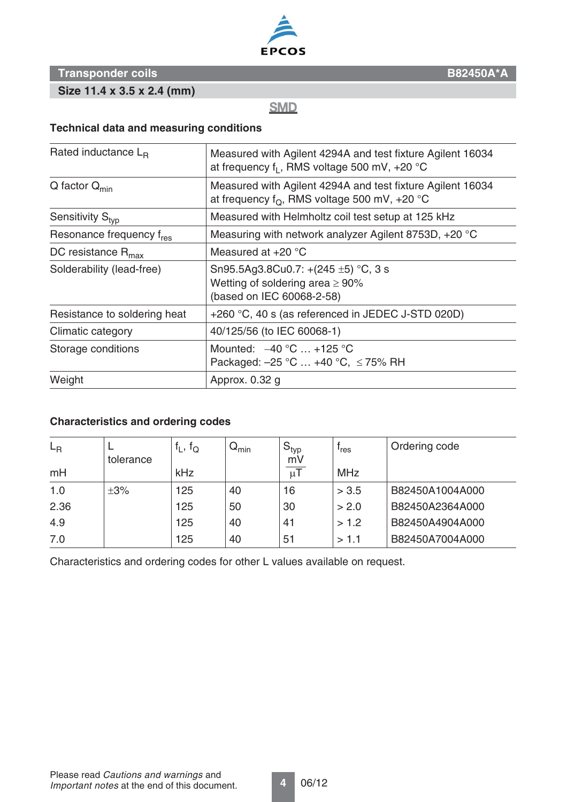

## **Transponder coils B82450A\*A**

**Size 11.4 x 3.5 x 2.4 (mm)**

**SMD** 

#### **Technical data and measuring conditions**

| Rated inductance $L_B$               | Measured with Agilent 4294A and test fixture Agilent 16034<br>at frequency $f_1$ , RMS voltage 500 mV, +20 $^{\circ}$ C |  |  |  |
|--------------------------------------|-------------------------------------------------------------------------------------------------------------------------|--|--|--|
| $Q$ factor $Q_{min}$                 | Measured with Agilent 4294A and test fixture Agilent 16034<br>at frequency $f_O$ , RMS voltage 500 mV, +20 °C           |  |  |  |
| Sensitivity S <sub>tvp</sub>         | Measured with Helmholtz coil test setup at 125 kHz                                                                      |  |  |  |
| Resonance frequency f <sub>res</sub> | Measuring with network analyzer Agilent 8753D, +20 °C                                                                   |  |  |  |
| DC resistance $R_{\text{max}}$       | Measured at $+20$ °C                                                                                                    |  |  |  |
| Solderability (lead-free)            | Sn95.5Ag3.8Cu0.7: +(245 $\pm$ 5) °C, 3 s<br>Wetting of soldering area $\geq 90\%$<br>(based on IEC 60068-2-58)          |  |  |  |
| Resistance to soldering heat         | +260 °C, 40 s (as referenced in JEDEC J-STD 020D)                                                                       |  |  |  |
| Climatic category                    | 40/125/56 (to IEC 60068-1)                                                                                              |  |  |  |
| Storage conditions                   | Mounted: $-40 °C  +125 °C$<br>Packaged: $-25$ °C  +40 °C, $\leq$ 75% RH                                                 |  |  |  |
| Weight                               | Approx. 0.32 g                                                                                                          |  |  |  |

#### **Characteristics and ordering codes**

| $L_{\rm R}$ | tolerance | $f_L$ , $f_Q$ | $\mathsf{Q}_{\mathsf{min}}$ | l $\mathbf{S}_{\mathsf{typ}}$<br>mV | <sup>'</sup> res | Ordering code   |
|-------------|-----------|---------------|-----------------------------|-------------------------------------|------------------|-----------------|
| mH          |           | kHz           |                             | $\mu$ T                             | <b>MHz</b>       |                 |
| 1.0         | $\pm 3\%$ | 125           | 40                          | 16                                  | > 3.5            | B82450A1004A000 |
| 2.36        |           | 125           | 50                          | 30                                  | > 2.0            | B82450A2364A000 |
| 4.9         |           | 125           | 40                          | 41                                  | > 1.2            | B82450A4904A000 |
| 7.0         |           | 125           | 40                          | 51                                  | >1.1             | B82450A7004A000 |

Characteristics and ordering codes for other L values available on request.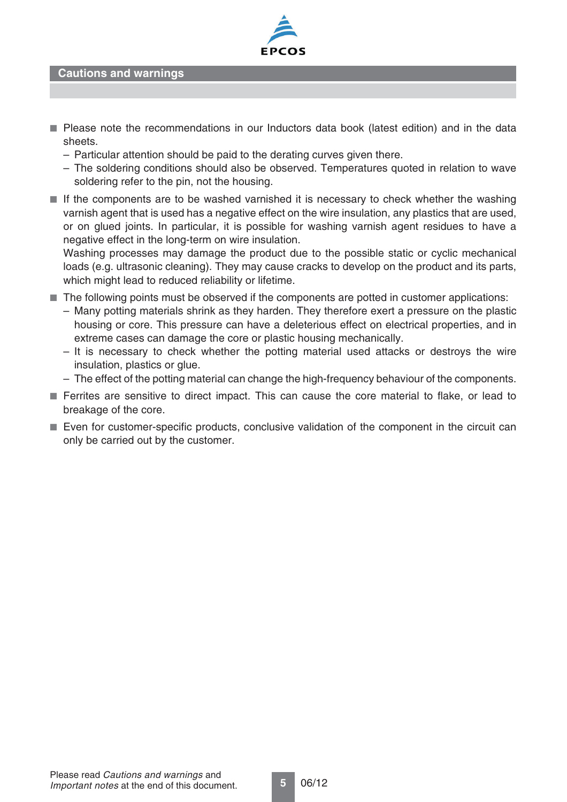

**Cautions and warnings**

- Please note the recommendations in our Inductors data book (latest edition) and in the data sheets.
	- Particular attention should be paid to the derating curves given there.
	- The soldering conditions should also be observed. Temperatures quoted in relation to wave soldering refer to the pin, not the housing.
- If the components are to be washed varnished it is necessary to check whether the washing varnish agent that is used has a negative effect on the wire insulation, any plastics that are used, or on glued joints. In particular, it is possible for washing varnish agent residues to have a negative effect in the long-term on wire insulation.

Washing processes may damage the product due to the possible static or cyclic mechanical loads (e.g. ultrasonic cleaning). They may cause cracks to develop on the product and its parts, which might lead to reduced reliability or lifetime.

- The following points must be observed if the components are potted in customer applications:
	- Many potting materials shrink as they harden. They therefore exert a pressure on the plastic housing or core. This pressure can have a deleterious effect on electrical properties, and in extreme cases can damage the core or plastic housing mechanically.
	- It is necessary to check whether the potting material used attacks or destroys the wire insulation, plastics or glue.
	- The effect of the potting material can change the high-frequency behaviour of the components.
- Ferrites are sensitive to direct impact. This can cause the core material to flake, or lead to breakage of the core.
- Even for customer-specific products, conclusive validation of the component in the circuit can only be carried out by the customer.